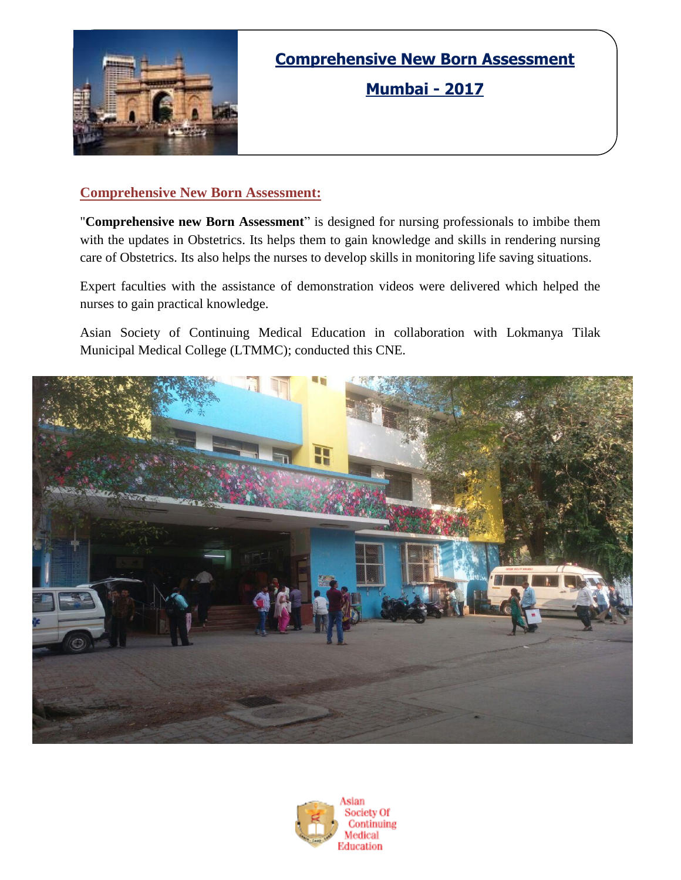

## **Comprehensive New Born Assessment**

**Mumbai - 2017**

### **Comprehensive New Born Assessment:**

"**Comprehensive new Born Assessment**" is designed for nursing professionals to imbibe them with the updates in Obstetrics. Its helps them to gain knowledge and skills in rendering nursing care of Obstetrics. Its also helps the nurses to develop skills in monitoring life saving situations.

Expert faculties with the assistance of demonstration videos were delivered which helped the nurses to gain practical knowledge.

Asian Society of Continuing Medical Education in collaboration with Lokmanya Tilak Municipal Medical College (LTMMC); conducted this CNE.



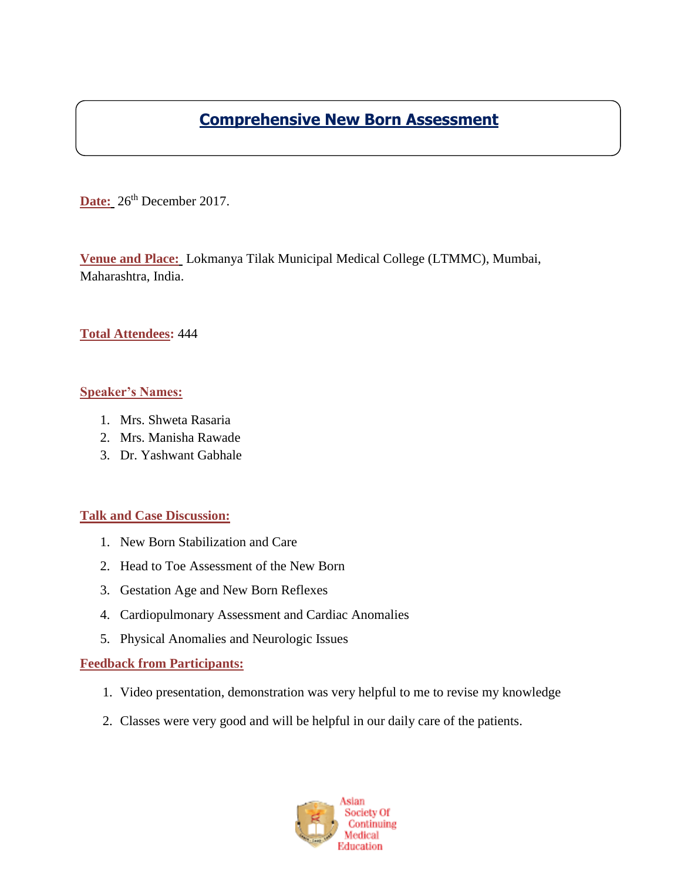### **Comprehensive New Born Assessment**

Date: 26<sup>th</sup> December 2017.

**Venue and Place:** Lokmanya Tilak Municipal Medical College (LTMMC), Mumbai, Maharashtra, India.

### **Total Attendees:** 444

#### **Speaker's Names:**

- 1. Mrs. Shweta Rasaria
- 2. Mrs. Manisha Rawade
- 3. Dr. Yashwant Gabhale

#### **Talk and Case Discussion:**

- 1. New Born Stabilization and Care
- 2. Head to Toe Assessment of the New Born
- 3. Gestation Age and New Born Reflexes
- 4. Cardiopulmonary Assessment and Cardiac Anomalies
- 5. Physical Anomalies and Neurologic Issues

#### **Feedback from Participants:**

- 1. Video presentation, demonstration was very helpful to me to revise my knowledge
- 2. Classes were very good and will be helpful in our daily care of the patients.

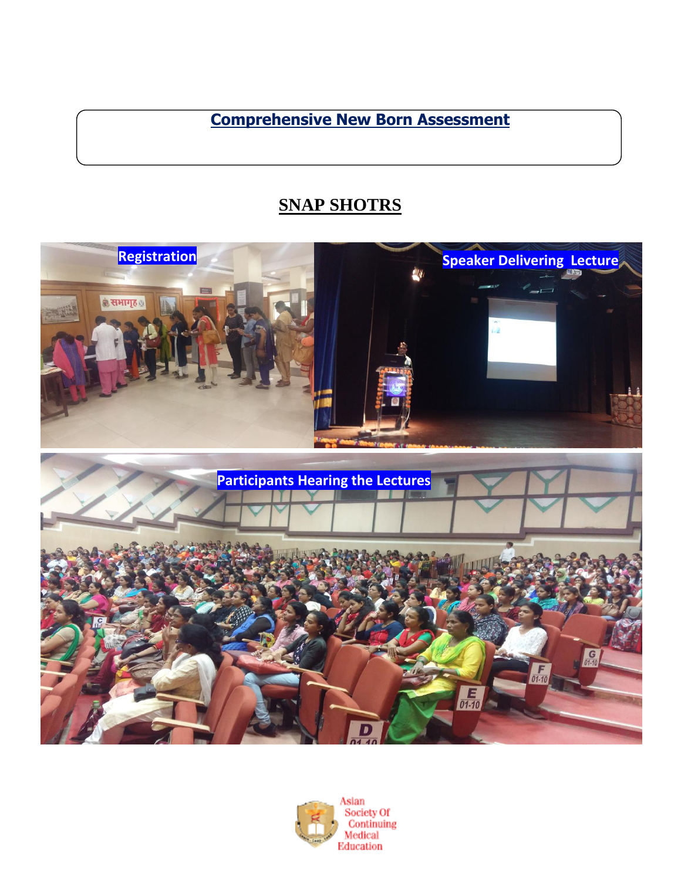**Comprehensive New Born Assessment**

# **SNAP SHOTRS**